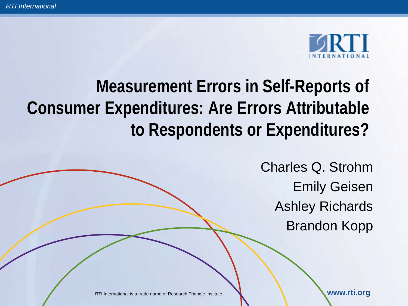

# **Measurement Errors in Self-Reports of Consumer Expenditures: Are Errors Attributable to Respondents or Expenditures?**

Charles Q. Strohm Emily Geisen Ashley Richards Brandon Kopp

RTI International is a trade name of Research Triangle Institute. **We are all assessed to the WWW.rti.org**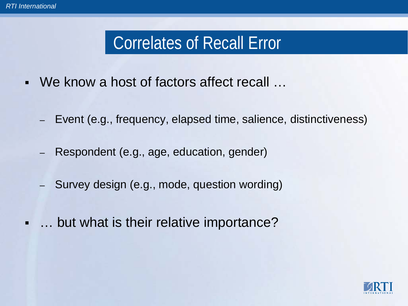## Correlates of Recall Error

- We know a host of factors affect recall …
	- Event (e.g., frequency, elapsed time, salience, distinctiveness)
	- Respondent (e.g., age, education, gender)
	- Survey design (e.g., mode, question wording)
	- … but what is their relative importance?

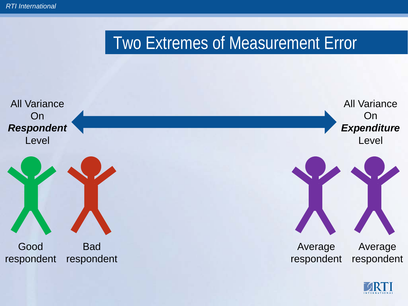### Two Extremes of Measurement Error



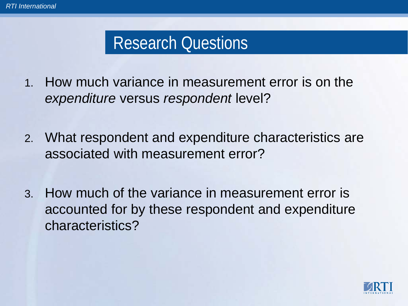## Research Questions

- 1. How much variance in measurement error is on the *expenditure* versus *respondent* level?
- 2. What respondent and expenditure characteristics are associated with measurement error?
- 3. How much of the variance in measurement error is accounted for by these respondent and expenditure characteristics?

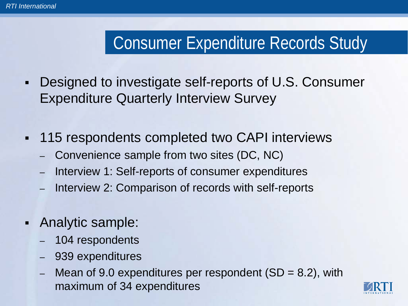# Consumer Expenditure Records Study

- Designed to investigate self-reports of U.S. Consumer Expenditure Quarterly Interview Survey
- 115 respondents completed two CAPI interviews
	- Convenience sample from two sites (DC, NC)
	- Interview 1: Self-reports of consumer expenditures
	- Interview 2: Comparison of records with self-reports
- Analytic sample:
	- 104 respondents
	- 939 expenditures
	- Mean of 9.0 expenditures per respondent  $(SD = 8.2)$ , with maximum of 34 expenditures

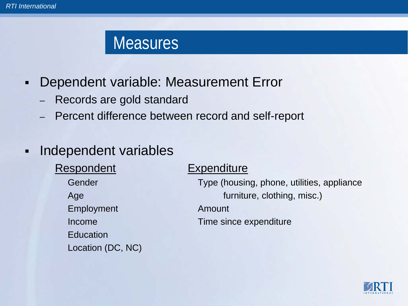#### **Measures**

- Dependent variable: Measurement Error
	- Records are gold standard
	- Percent difference between record and self-report

#### - Independent variables

Respondent Expenditure Employment Amount Education Location (DC, NC)

Gender Type (housing, phone, utilities, appliance Age furniture, clothing, misc.)

Income Time since expenditure

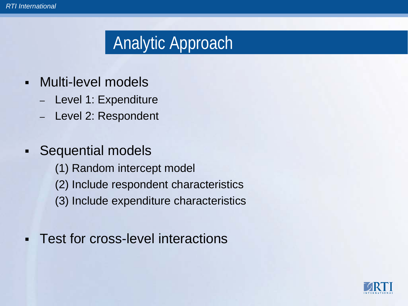# Analytic Approach

- Multi-level models
	- Level 1: Expenditure
	- Level 2: Respondent
- Sequential models
	- (1) Random intercept model
	- (2) Include respondent characteristics
	- (3) Include expenditure characteristics
- **Test for cross-level interactions**

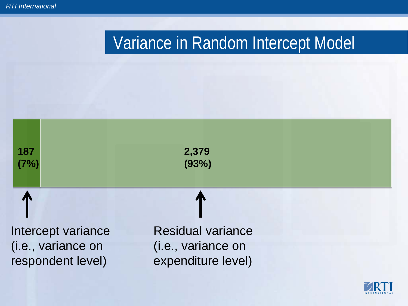# Variance in Random Intercept Model



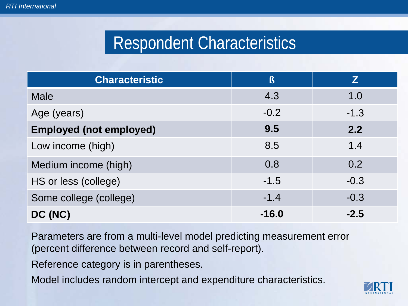## Respondent Characteristics

| <b>Characteristic</b>          | $\mathbf{\beta}$ | Z      |
|--------------------------------|------------------|--------|
| <b>Male</b>                    | 4.3              | 1.0    |
| Age (years)                    | $-0.2$           | $-1.3$ |
| <b>Employed (not employed)</b> | 9.5              | 2.2    |
| Low income (high)              | 8.5              | 1.4    |
| Medium income (high)           | 0.8              | 0.2    |
| HS or less (college)           | $-1.5$           | $-0.3$ |
| Some college (college)         | $-1.4$           | $-0.3$ |
| DC (NC)                        | $-16.0$          | $-2.5$ |

Parameters are from a multi-level model predicting measurement error (percent difference between record and self-report).

Reference category is in parentheses.

Model includes random intercept and expenditure characteristics.

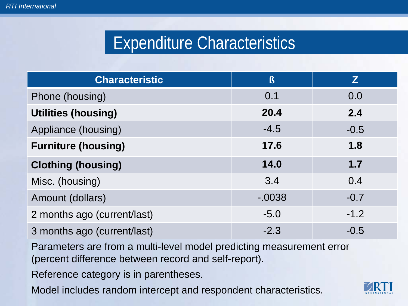## Expenditure Characteristics

| <b>Characteristic</b>       | $\mathbf{\beta}$ | Z      |
|-----------------------------|------------------|--------|
| Phone (housing)             | 0.1              | 0.0    |
| <b>Utilities (housing)</b>  | 20.4             | 2.4    |
| Appliance (housing)         | $-4.5$           | $-0.5$ |
| <b>Furniture (housing)</b>  | 17.6             | 1.8    |
| <b>Clothing (housing)</b>   | 14.0             | 1.7    |
| Misc. (housing)             | 3.4              | 0.4    |
| Amount (dollars)            | $-0.0038$        | $-0.7$ |
| 2 months ago (current/last) | $-5.0$           | $-1.2$ |
| 3 months ago (current/last) | $-2.3$           | $-0.5$ |

Parameters are from a multi-level model predicting measurement error (percent difference between record and self-report).

Reference category is in parentheses.

Model includes random intercept and respondent characteristics.

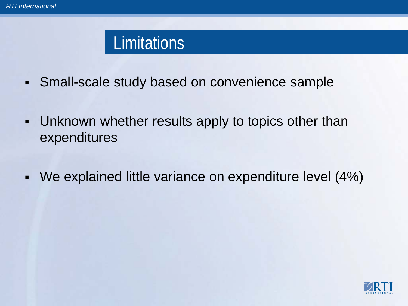### **Limitations**

- Small-scale study based on convenience sample
- Unknown whether results apply to topics other than expenditures
- We explained little variance on expenditure level (4%)

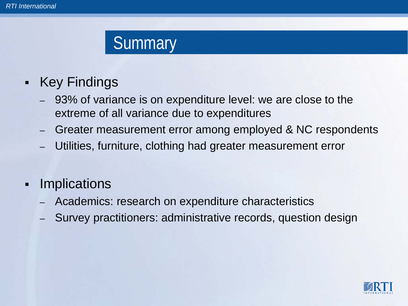#### **Summary**

#### • Key Findings

- 93% of variance is on expenditure level: we are close to the extreme of all variance due to expenditures
- Greater measurement error among employed & NC respondents
- Utilities, furniture, clothing had greater measurement error
- **-** Implications
	- Academics: research on expenditure characteristics
	- Survey practitioners: administrative records, question design